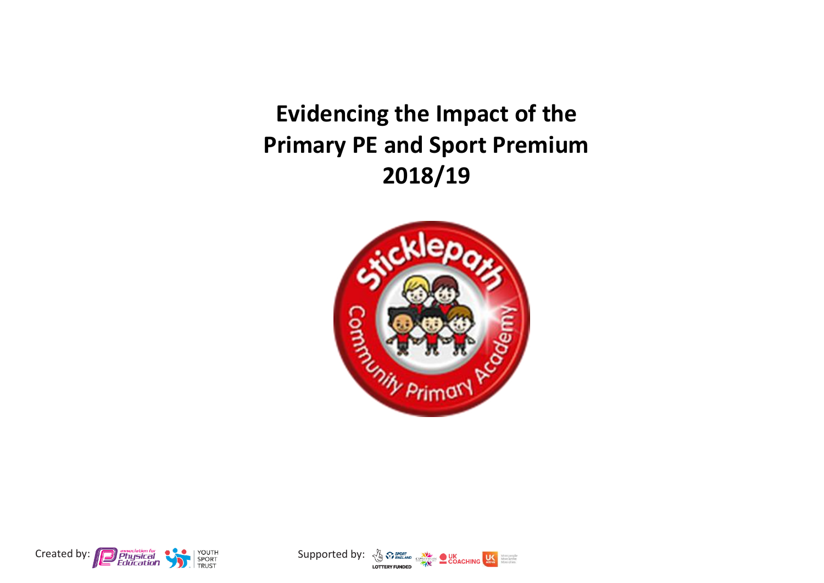**Evidencing the Impact of the Primary PE and Sport Premium 2018/19**





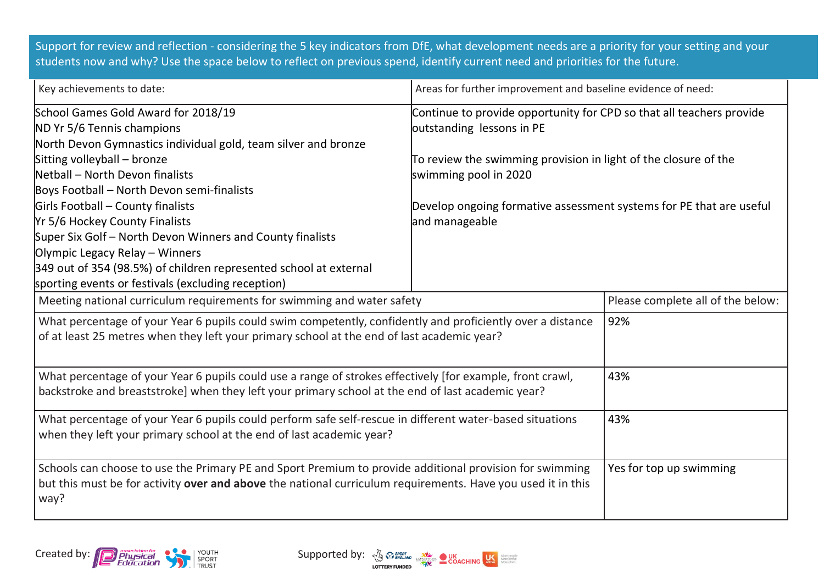Support for review and reflection - considering the 5 key indicators from DfE, what development needs are a priority for your setting and your students now and why? Use the space below to reflect on previous spend, identify current need and priorities for the future.

| Key achievements to date:                                                                                                                                                                                                      | Areas for further improvement and baseline evidence of need:                                      |  |  |
|--------------------------------------------------------------------------------------------------------------------------------------------------------------------------------------------------------------------------------|---------------------------------------------------------------------------------------------------|--|--|
| School Games Gold Award for 2018/19<br>ND Yr 5/6 Tennis champions                                                                                                                                                              | Continue to provide opportunity for CPD so that all teachers provide<br>outstanding lessons in PE |  |  |
| North Devon Gymnastics individual gold, team silver and bronze                                                                                                                                                                 |                                                                                                   |  |  |
| Sitting volleyball - bronze                                                                                                                                                                                                    | To review the swimming provision in light of the closure of the                                   |  |  |
| Netball - North Devon finalists                                                                                                                                                                                                | swimming pool in 2020                                                                             |  |  |
| Boys Football - North Devon semi-finalists                                                                                                                                                                                     |                                                                                                   |  |  |
| Girls Football - County finalists                                                                                                                                                                                              | Develop ongoing formative assessment systems for PE that are useful                               |  |  |
| Yr 5/6 Hockey County Finalists                                                                                                                                                                                                 | and manageable                                                                                    |  |  |
| Super Six Golf - North Devon Winners and County finalists                                                                                                                                                                      |                                                                                                   |  |  |
| Olympic Legacy Relay - Winners                                                                                                                                                                                                 |                                                                                                   |  |  |
| 349 out of 354 (98.5%) of children represented school at external                                                                                                                                                              |                                                                                                   |  |  |
| sporting events or festivals (excluding reception)                                                                                                                                                                             |                                                                                                   |  |  |
| Meeting national curriculum requirements for swimming and water safety                                                                                                                                                         | Please complete all of the below:                                                                 |  |  |
| What percentage of your Year 6 pupils could swim competently, confidently and proficiently over a distance<br>of at least 25 metres when they left your primary school at the end of last academic year?                       | 92%                                                                                               |  |  |
| What percentage of your Year 6 pupils could use a range of strokes effectively [for example, front crawl,<br>backstroke and breaststroke] when they left your primary school at the end of last academic year?                 | 43%                                                                                               |  |  |
| What percentage of your Year 6 pupils could perform safe self-rescue in different water-based situations<br>when they left your primary school at the end of last academic year?                                               | 43%                                                                                               |  |  |
| Schools can choose to use the Primary PE and Sport Premium to provide additional provision for swimming<br>but this must be for activity over and above the national curriculum requirements. Have you used it in this<br>way? | Yes for top up swimming                                                                           |  |  |



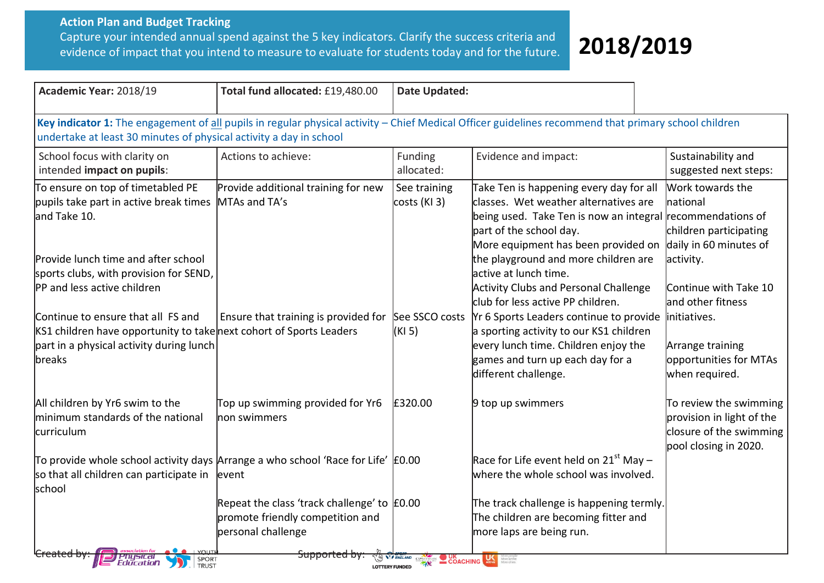## **Action Plan and Budget Tracking** Capture your intended annual spend against the 5 key indicators. Clarify the success criteria and evidence of impact that you intend to measure to evaluate for students today and for the future.

## **2018/2019** 2017/2018

| Academic Year: 2018/19                                                                                                                                                                                                                                                                                                                                               | Total fund allocated: £19,480.00                                                                            | <b>Date Updated:</b>                                                               |                                                                                                                                                                                                                                                                                                                                                                                                                                                                                                                              |                                                                                                                                                        |  |
|----------------------------------------------------------------------------------------------------------------------------------------------------------------------------------------------------------------------------------------------------------------------------------------------------------------------------------------------------------------------|-------------------------------------------------------------------------------------------------------------|------------------------------------------------------------------------------------|------------------------------------------------------------------------------------------------------------------------------------------------------------------------------------------------------------------------------------------------------------------------------------------------------------------------------------------------------------------------------------------------------------------------------------------------------------------------------------------------------------------------------|--------------------------------------------------------------------------------------------------------------------------------------------------------|--|
| Key indicator 1: The engagement of all pupils in regular physical activity - Chief Medical Officer guidelines recommend that primary school children<br>undertake at least 30 minutes of physical activity a day in school                                                                                                                                           |                                                                                                             |                                                                                    |                                                                                                                                                                                                                                                                                                                                                                                                                                                                                                                              |                                                                                                                                                        |  |
| School focus with clarity on<br>intended impact on pupils:                                                                                                                                                                                                                                                                                                           | Actions to achieve:                                                                                         | Funding<br>allocated:                                                              | Evidence and impact:                                                                                                                                                                                                                                                                                                                                                                                                                                                                                                         | Sustainability and<br>suggested next steps:                                                                                                            |  |
| To ensure on top of timetabled PE<br>pupils take part in active break times<br>and Take 10.<br>Provide lunch time and after school<br>sports clubs, with provision for SEND,<br>PP and less active children<br>Continue to ensure that all FS and<br>KS1 children have opportunity to take next cohort of Sports Leaders<br>part in a physical activity during lunch | Provide additional training for new<br>MTAs and TA's<br>Ensure that training is provided for See SSCO costs | See training<br>$costs$ (KI 3)<br>(KI 5)                                           | Take Ten is happening every day for all<br>classes. Wet weather alternatives are<br>being used. Take Ten is now an integral recommendations of<br>part of the school day.<br>More equipment has been provided on daily in 60 minutes of<br>the playground and more children are<br>lactive at lunch time.<br><b>Activity Clubs and Personal Challenge</b><br>club for less active PP children.<br>Yr 6 Sports Leaders continue to provide<br>a sporting activity to our KS1 children<br>every lunch time. Children enjoy the | Work towards the<br>Inational<br>children participating<br>activity.<br>Continue with Take 10<br>and other fitness<br>initiatives.<br>Arrange training |  |
| breaks                                                                                                                                                                                                                                                                                                                                                               |                                                                                                             |                                                                                    | games and turn up each day for a<br>different challenge.                                                                                                                                                                                                                                                                                                                                                                                                                                                                     | opportunities for MTAs<br>when required.                                                                                                               |  |
| All children by Yr6 swim to the<br>minimum standards of the national<br>curriculum                                                                                                                                                                                                                                                                                   | Top up swimming provided for Yr6<br>non swimmers                                                            | £320.00                                                                            | 9 top up swimmers                                                                                                                                                                                                                                                                                                                                                                                                                                                                                                            | To review the swimming<br>provision in light of the<br>closure of the swimming<br>pool closing in 2020.                                                |  |
| To provide whole school activity days Arrange a who school 'Race for Life' $\text{\pounds}0.00$<br>so that all children can participate in<br>school                                                                                                                                                                                                                 | levent                                                                                                      |                                                                                    | Race for Life event held on 21 <sup>st</sup> May -<br>where the whole school was involved.                                                                                                                                                                                                                                                                                                                                                                                                                                   |                                                                                                                                                        |  |
|                                                                                                                                                                                                                                                                                                                                                                      | Repeat the class 'track challenge' to $E$ 0.00<br>promote friendly competition and<br>personal challenge    |                                                                                    | The track challenge is happening termly.<br>The children are becoming fitter and<br>more laps are being run.                                                                                                                                                                                                                                                                                                                                                                                                                 |                                                                                                                                                        |  |
| <i><b>Pnysical</b></i><br>Education<br>SPORT<br><b>TRUST</b>                                                                                                                                                                                                                                                                                                         | <del>supportea by:</del>                                                                                    | <b>THE ENGLAND CSPRETINGREE COACHING CALL AND STREAMS</b><br><b>LOTTERY FUNDED</b> |                                                                                                                                                                                                                                                                                                                                                                                                                                                                                                                              |                                                                                                                                                        |  |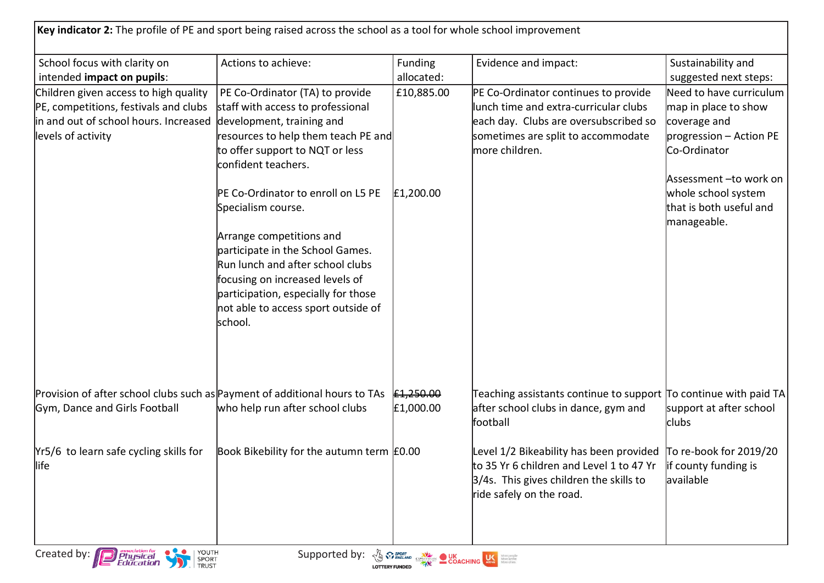| Key indicator 2: The profile of PE and sport being raised across the school as a tool for whole school improvement                            |                                                                                                                                                                                                                                                                                          |                                                |                                                                                                                                                                                                 |                                                                                                                                        |
|-----------------------------------------------------------------------------------------------------------------------------------------------|------------------------------------------------------------------------------------------------------------------------------------------------------------------------------------------------------------------------------------------------------------------------------------------|------------------------------------------------|-------------------------------------------------------------------------------------------------------------------------------------------------------------------------------------------------|----------------------------------------------------------------------------------------------------------------------------------------|
| School focus with clarity on<br>intended impact on pupils:                                                                                    | Actions to achieve:                                                                                                                                                                                                                                                                      | Funding<br>allocated:                          | Evidence and impact:                                                                                                                                                                            | Sustainability and<br>suggested next steps:                                                                                            |
| Children given access to high quality<br>PE, competitions, festivals and clubs<br>in and out of school hours. Increased<br>levels of activity | PE Co-Ordinator (TA) to provide<br>staff with access to professional<br>development, training and<br>resources to help them teach PE and<br>to offer support to NQT or less<br>confident teachers.                                                                                       | £10,885.00                                     | PE Co-Ordinator continues to provide<br>lunch time and extra-curricular clubs<br>each day. Clubs are oversubscribed so<br>sometimes are split to accommodate<br>lmore children.                 | Need to have curriculum<br>map in place to show<br>coverage and<br>$progression - Action PE$<br>Co-Ordinator<br>Assessment -to work on |
|                                                                                                                                               | PE Co-Ordinator to enroll on L5 PE<br>Specialism course.<br>Arrange competitions and<br>participate in the School Games.<br>Run lunch and after school clubs<br>focusing on increased levels of<br>participation, especially for those<br>not able to access sport outside of<br>school. | £1,200.00                                      |                                                                                                                                                                                                 | whole school system<br>that is both useful and<br>manageable.                                                                          |
| Provision of after school clubs such as Payment of additional hours to TAs<br>Gym, Dance and Girls Football                                   | who help run after school clubs                                                                                                                                                                                                                                                          | £1,250.00<br>£1,000.00                         | Teaching assistants continue to support $\sigma$ continue with paid TA<br>after school clubs in dance, gym and<br>football                                                                      | support at after school<br>lclubs                                                                                                      |
| Yr5/6 to learn safe cycling skills for<br>llife                                                                                               | Book Bikebility for the autumn term E0.00                                                                                                                                                                                                                                                |                                                | Level $1/2$ Bikeability has been provided $\overline{p}$ re-book for 2019/20<br>to 35 Yr 6 children and Level 1 to 47 Yr<br>3/4s. This gives children the skills to<br>ride safely on the road. | lif county funding is<br>lavailable                                                                                                    |
| YOUTH<br>SPORT<br>TRUST<br>Created by:<br>Physical<br>Education                                                                               | Supported by:                                                                                                                                                                                                                                                                            | <b>A SPORT CONCRETE DUK</b><br><b>COACHING</b> |                                                                                                                                                                                                 |                                                                                                                                        |

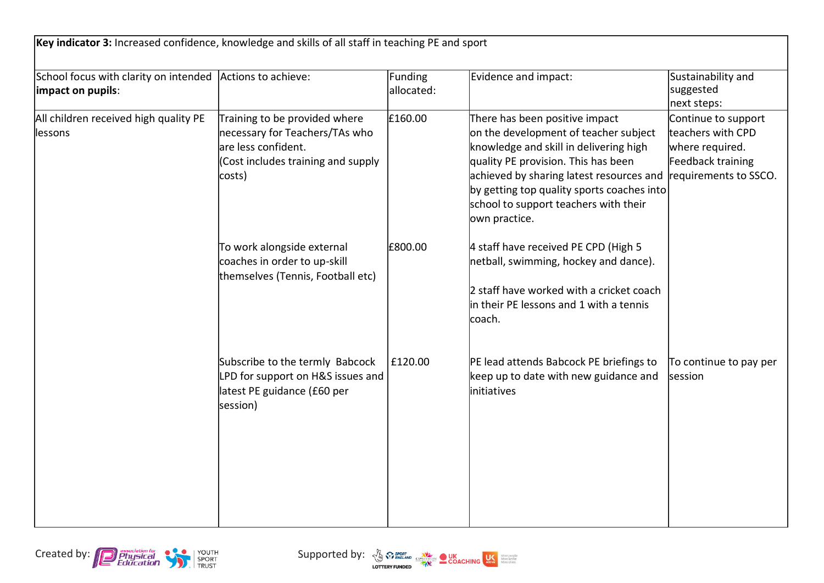| Key indicator 3: Increased confidence, knowledge and skills of all staff in teaching PE and sport |                                                                                                                                        |                       |                                                                                                                                                                                                                                                                                                              |                                                                                                           |
|---------------------------------------------------------------------------------------------------|----------------------------------------------------------------------------------------------------------------------------------------|-----------------------|--------------------------------------------------------------------------------------------------------------------------------------------------------------------------------------------------------------------------------------------------------------------------------------------------------------|-----------------------------------------------------------------------------------------------------------|
| School focus with clarity on intended Actions to achieve:<br>impact on pupils:                    |                                                                                                                                        | Funding<br>allocated: | Evidence and impact:                                                                                                                                                                                                                                                                                         | Sustainability and<br>suggested<br>next steps:                                                            |
| All children received high quality PE<br>lessons                                                  | Training to be provided where<br>necessary for Teachers/TAs who<br>are less confident.<br>(Cost includes training and supply<br>costs) | £160.00               | There has been positive impact<br>on the development of teacher subject<br>knowledge and skill in delivering high<br>quality PE provision. This has been<br>achieved by sharing latest resources and<br>by getting top quality sports coaches into<br>school to support teachers with their<br>own practice. | Continue to support<br>teachers with CPD<br>where required.<br>Feedback training<br>requirements to SSCO. |
|                                                                                                   | To work alongside external<br>coaches in order to up-skill<br>themselves (Tennis, Football etc)                                        | £800.00               | 4 staff have received PE CPD (High 5<br>netball, swimming, hockey and dance).<br>2 staff have worked with a cricket coach<br>in their PE lessons and 1 with a tennis<br>coach.                                                                                                                               |                                                                                                           |
|                                                                                                   | Subscribe to the termly Babcock<br>LPD for support on H&S issues and<br>latest PE guidance (£60 per<br>session)                        | £120.00               | PE lead attends Babcock PE briefings to<br>keep up to date with new guidance and<br>initiatives                                                                                                                                                                                                              | To continue to pay per<br>session                                                                         |

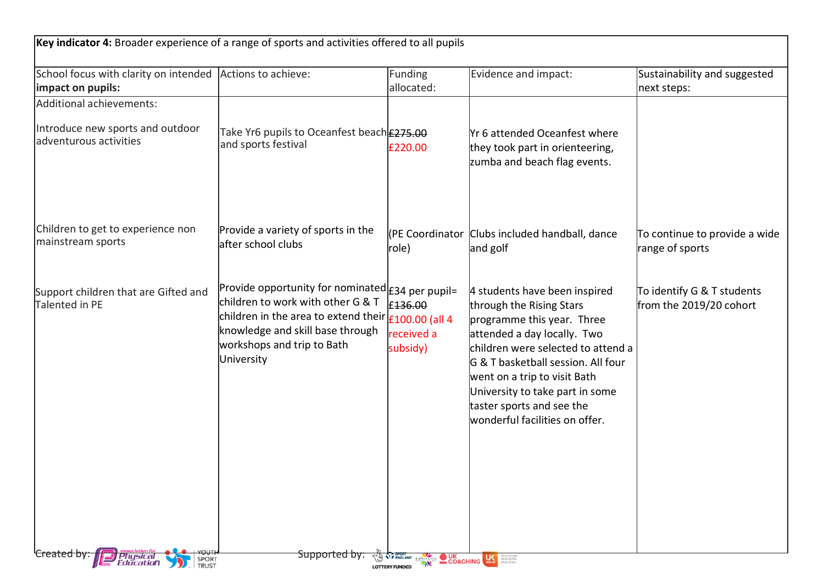| Key indicator 4: Broader experience of a range of sports and activities offered to all pupils |                                                                                                                                                                                                                                                    |                                             |                                                                                                                                                                                                                                                                                                                                      |                                                       |
|-----------------------------------------------------------------------------------------------|----------------------------------------------------------------------------------------------------------------------------------------------------------------------------------------------------------------------------------------------------|---------------------------------------------|--------------------------------------------------------------------------------------------------------------------------------------------------------------------------------------------------------------------------------------------------------------------------------------------------------------------------------------|-------------------------------------------------------|
| School focus with clarity on intended Actions to achieve:<br>impact on pupils:                |                                                                                                                                                                                                                                                    | Funding<br>allocated:                       | Evidence and impact:                                                                                                                                                                                                                                                                                                                 | Sustainability and suggested<br>next steps:           |
| Additional achievements:                                                                      |                                                                                                                                                                                                                                                    |                                             |                                                                                                                                                                                                                                                                                                                                      |                                                       |
| Introduce new sports and outdoor<br>ladventurous activities                                   | Take Yr6 pupils to Oceanfest beach <b>E275.00</b><br>and sports festival                                                                                                                                                                           | £220.00                                     | <b>Yr 6 attended Oceanfest where</b><br>they took part in orienteering,<br>zumba and beach flag events.                                                                                                                                                                                                                              |                                                       |
| Children to get to experience non<br>mainstream sports                                        | Provide a variety of sports in the<br>after school clubs                                                                                                                                                                                           | role)                                       | (PE Coordinator Clubs included handball, dance<br>and golf                                                                                                                                                                                                                                                                           | To continue to provide a wide<br>range of sports      |
| Support children that are Gifted and<br>Talented in PE                                        | Provide opportunity for nominated $\epsilon$ 34 per pupil=<br>children to work with other G & T<br>children in the area to extend their $\epsilon_{100.00}$ (all 4<br>knowledge and skill base through<br>workshops and trip to Bath<br>University | £136.00<br>received a<br>subsidy)           | 4 students have been inspired<br>through the Rising Stars<br>programme this year. Three<br>attended a day locally. Two<br>children were selected to attend a<br>G & T basketball session. All four<br>went on a trip to visit Bath<br>University to take part in some<br>taster sports and see the<br>wonderful facilities on offer. | To identify G & T students<br>from the 2019/20 cohort |
| SPORT<br><i><b>Education</b></i><br><b>TRUST</b>                                              | <del>Supported by</del>                                                                                                                                                                                                                            | ENGLAND CSPNETWORK<br><b>LOTTERY FUNDED</b> | <b>OUK</b> COACHING<br>More people<br>More active<br>More often                                                                                                                                                                                                                                                                      |                                                       |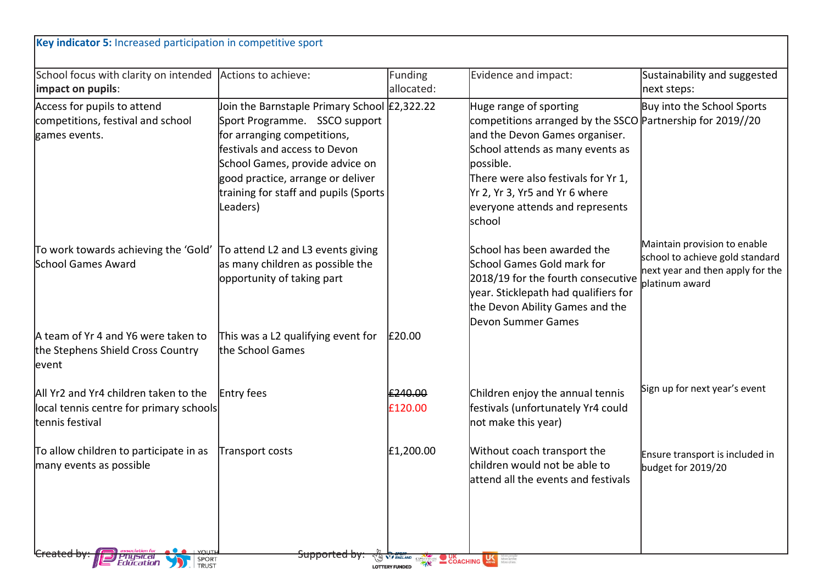| Key indicator 5: Increased participation in competitive sport                                       |                                                                                                                                                                                                                                                                            |                       |                                                                                                                                                                                                                                                                                               |                                                                                                                       |
|-----------------------------------------------------------------------------------------------------|----------------------------------------------------------------------------------------------------------------------------------------------------------------------------------------------------------------------------------------------------------------------------|-----------------------|-----------------------------------------------------------------------------------------------------------------------------------------------------------------------------------------------------------------------------------------------------------------------------------------------|-----------------------------------------------------------------------------------------------------------------------|
| School focus with clarity on intended<br>impact on pupils:                                          | Actions to achieve:                                                                                                                                                                                                                                                        | Funding<br>allocated: | Evidence and impact:                                                                                                                                                                                                                                                                          | Sustainability and suggested<br>next steps:                                                                           |
| Access for pupils to attend<br>competitions, festival and school<br>games events.                   | Join the Barnstaple Primary School £2,322.22<br>Sport Programme. SSCO support<br>for arranging competitions,<br>festivals and access to Devon<br>School Games, provide advice on<br>good practice, arrange or deliver<br>training for staff and pupils (Sports<br>Leaders) |                       | Huge range of sporting<br>competitions arranged by the SSCO Partnership for 2019//20<br>and the Devon Games organiser.<br>School attends as many events as<br>possible.<br>There were also festivals for Yr 1,<br>Yr 2, Yr 3, Yr5 and Yr 6 where<br>everyone attends and represents<br>school | Buy into the School Sports                                                                                            |
| To work towards achieving the 'Gold'<br><b>School Games Award</b>                                   | To attend L2 and L3 events giving<br>as many children as possible the<br>opportunity of taking part                                                                                                                                                                        |                       | School has been awarded the<br>School Games Gold mark for<br>2018/19 for the fourth consecutive<br>year. Sticklepath had qualifiers for<br>the Devon Ability Games and the<br>Devon Summer Games                                                                                              | Maintain provision to enable<br>school to achieve gold standard<br>next year and then apply for the<br>platinum award |
| A team of Yr 4 and Y6 were taken to<br>the Stephens Shield Cross Country<br>levent                  | This was a L2 qualifying event for<br>the School Games                                                                                                                                                                                                                     | £20.00                |                                                                                                                                                                                                                                                                                               |                                                                                                                       |
| All Yr2 and Yr4 children taken to the<br>local tennis centre for primary schools<br>tennis festival | Entry fees                                                                                                                                                                                                                                                                 | £240.00<br>£120.00    | Children enjoy the annual tennis<br>festivals (unfortunately Yr4 could<br>not make this year)                                                                                                                                                                                                 | Sign up for next year's event                                                                                         |
| To allow children to participate in as<br>many events as possible                                   | Transport costs                                                                                                                                                                                                                                                            | £1,200.00             | Without coach transport the<br>children would not be able to<br>attend all the events and festivals                                                                                                                                                                                           | Ensure transport is included in<br>budget for 2019/20                                                                 |
| SPORT<br>Education<br><b>TRUST</b>                                                                  | <del>supportea b</del> y                                                                                                                                                                                                                                                   | <b>LOTTERY FUNDED</b> | $\frac{1}{2}$ COACHING                                                                                                                                                                                                                                                                        |                                                                                                                       |